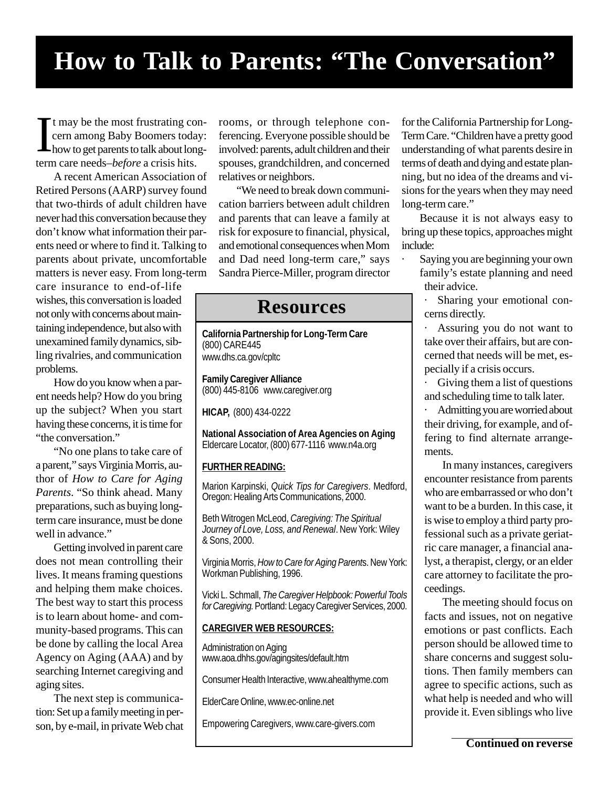## **How to Talk to Parents: "The Conversation"**

If the most frustrating conduction contracts to talk about long term care needs–*before* a crisis hits. t may be the most frustrating concern among Baby Boomers today: how to get parents to talk about long-

A recent American Association of Retired Persons (AARP) survey found that two-thirds of adult children have never had this conversation because they don't know what information their parents need or where to find it. Talking to parents about private, uncomfortable matters is never easy. From long-term

care insurance to end-of-life wishes, this conversation is loaded not only with concerns about maintaining independence, but also with unexamined family dynamics, sibling rivalries, and communication problems.

How do you know when a parent needs help? How do you bring up the subject? When you start having these concerns, it is time for "the conversation."

"No one plans to take care of a parent," says Virginia Morris, author of *How to Care for Aging Parents*. "So think ahead. Many preparations, such as buying longterm care insurance, must be done well in advance."

Getting involved in parent care does not mean controlling their lives. It means framing questions and helping them make choices. The best way to start this process is to learn about home- and community-based programs. This can be done by calling the local Area Agency on Aging (AAA) and by searching Internet caregiving and aging sites.

The next step is communication: Set up a family meeting in person, by e-mail, in private Web chat rooms, or through telephone conferencing. Everyone possible should be involved: parents, adult children and their spouses, grandchildren, and concerned relatives or neighbors.

"We need to break down communication barriers between adult children and parents that can leave a family at risk for exposure to financial, physical, and emotional consequences when Mom and Dad need long-term care," says Sandra Pierce-Miller, program director

### **Resources**

**California Partnership for Long-Term Care** (800) CARE445 www.dhs.ca.gov/cpltc

**Family Caregiver Alliance** (800) 445-8106 www.caregiver.org

**HICAP,** (800) 434-0222

**National Association of Area Agencies on Aging** Eldercare Locator, (800) 677-1116 www.n4a.org

### **FURTHER READING:**

Marion Karpinski, *Quick Tips for Caregivers*. Medford, Oregon: Healing Arts Communications, 2000.

Beth Witrogen McLeod, *Caregiving: The Spiritual Journey of Love, Loss, and Renewal*. New York: Wiley & Sons, 2000.

Virginia Morris, *How to Care for Aging Parent*s. New York: Workman Publishing, 1996.

Vicki L. Schmall, *The Caregiver Helpbook: Powerful Tools for Caregiving.* Portland: Legacy Caregiver Services, 2000.

#### **CAREGIVER WEB RESOURCES:**

Administration on Aging www.aoa.dhhs.gov/agingsites/default.htm

Consumer Health Interactive, www.ahealthyme.com

ElderCare Online, www.ec-online.net

Empowering Caregivers, www.care-givers.com

for the California Partnership for Long-Term Care. "Children have a pretty good understanding of what parents desire in terms of death and dying and estate planning, but no idea of the dreams and visions for the years when they may need long-term care."

Because it is not always easy to bring up these topics, approaches might include:

Saying you are beginning your own family's estate planning and need their advice.

Sharing your emotional concerns directly.

Assuring you do not want to take over their affairs, but are concerned that needs will be met, especially if a crisis occurs.

· Giving them a list of questions and scheduling time to talk later.

Admitting you are worried about their driving, for example, and offering to find alternate arrangements.

In many instances, caregivers encounter resistance from parents who are embarrassed or who don't want to be a burden. In this case, it is wise to employ a third party professional such as a private geriatric care manager, a financial analyst, a therapist, clergy, or an elder care attorney to facilitate the proceedings.

The meeting should focus on facts and issues, not on negative emotions or past conflicts. Each person should be allowed time to share concerns and suggest solutions. Then family members can agree to specific actions, such as what help is needed and who will provide it. Even siblings who live